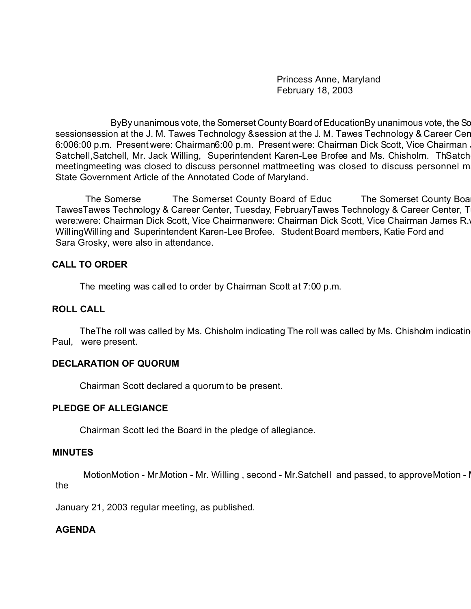Princess Anne, Maryland February 18, 2003

ByBy unanimous vote, the Somerset County Board of EducationBy unanimous vote, the Sc sessionsession at the J. M. Tawes Technology & session at the J. M. Tawes Technology & Career Center, Tuesday, February 2003 6:006:00 p.m. Present were: Chairman6:00 p.m. Present were: Chairman Dick Scott, Vice Chairman James B. Byrd, M Satchell, Satchell, Mr. Jack Willing, Superintendent Karen-Lee Brofee and Ms. Chisholm. ThSatch meetingmeeting was closed to discuss personnel mattmeeting was closed to discuss personnel m State Government Article of the Annotated Code of Maryland.

The Somerse The Somerset County Board of Educ The Somerset County Boa TawesTawes Technology & Career Center, Tuesday, FebruaryTawes Technology & Career Center, T were:were: Chairman Dick Scott, Vice Chairmanwere: Chairman Dick Scott, Vice Chairman James R. WillingWilling and Superintendent Karen-Lee Brofee. Student Board members, Katie Ford and Sara Grosky, were also in attendance.

## **CALL TO ORDER**

The meeting was called to order by Chairman Scott at 7:00 p.m.

## **ROLL CALL**

The The roll was called by Ms. Chisholm indicating The roll was called by Ms. Chisholm indicating The That all Board members, except Mr. Paul, were present.

# **DECLARATION OF QUORUM**

Chairman Scott declared a quorum to be present.

## **PLEDGE OF ALLEGIANCE**

Chairman Scott led the Board in the pledge of allegiance.

## **MINUTES**

MotionMotion - Mr.Motion - Mr. Willing, second - Mr.Satchell and passed, to approve Motion - I the

January 21, 2003 regular meeting, as published.

# **AGENDA**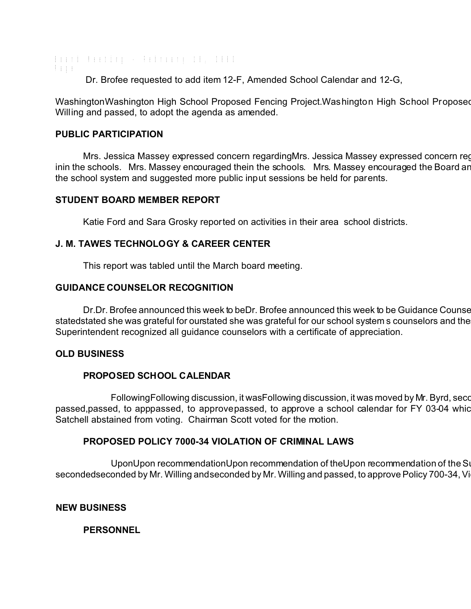Board Meeting - February 18, 2003 Page Dr. Brofee requested to add item 12-F, Amended School Calendar and 12-G,

WashingtonWashington High School Proposed Fencing Project.Washington High School Proposed Willing and passed, to adopt the agenda as amended.

### **PUBLIC PARTICIPATION**

Mrs. Jessica Massey expressed concern regardingMrs. Jessica Massey expressed concern reg inin the schools. Mrs. Massey encouraged thein the schools. Mrs. Massey encouraged the Board and the school system and suggested more public input sessions be held for parents.

## **STUDENT BOARD MEMBER REPORT**

Katie Ford and Sara Grosky reported on activities in their area school districts.

## **J. M. TAWES TECHNOLOGY & CAREER CENTER**

This report was tabled until the March board meeting.

### **GUIDANCE COUNSELOR RECOGNITION**

Dr.Dr. Brofee announced this week to beDr. Brofee announced this week to be Guidance Counsel statedstated she was grateful for ourstated she was grateful for our school system s counselors and the Superintendent recognized all guidance counselors with a certificate of appreciation.

#### **OLD BUSINESS**

## **PROPOSED SCHOOL CALENDAR**

FollowingFollowing discussion, it wasFollowing discussion, it was moved by Mr. Byrd, seconded by Mr. Byrd, seco passed,passed, to apppassed, to approvepassed, to approve a school calendar for FY 03-04 which Satchell abstained from voting. Chairman Scott voted for the motion.

## **PROPOSED POLICY 7000-34 VIOLATION OF CRIMINAL LAWS**

UponUpon recommendationUpon recommendation of theUpon recommendation of the Su secondedseconded by Mr. Willing andseconded by Mr. Willing and passed, to approve Policy 700-34, Vi

#### **NEW BUSINESS**

## **PERSONNEL**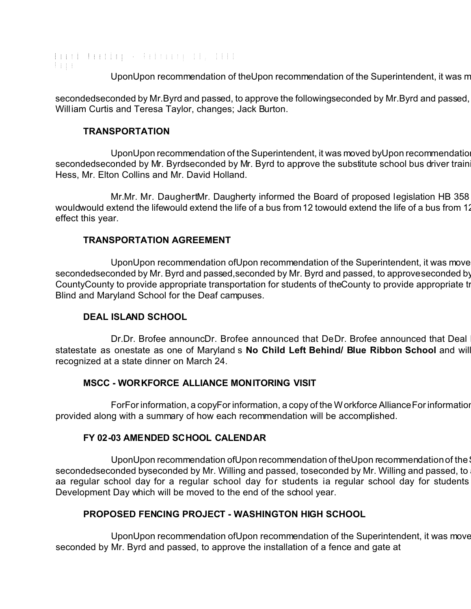Board Meeting - February 18, 2003 Page

UponUpon recommendation of theUpon recommendation of the Superintendent, it was m

secondedseconded by Mr. Byrd and passed, to approve the followingseconded by Mr. Byrd and passed, William Curtis and Teresa Taylor, changes; Jack Burton.

## **TRANSPORTATION**

UponUpon recommendation of the Superintendent, it was moved by Upon recommendatio secondedseconded by Mr. Byrdseconded by Mr. Byrd to approve the substitute school bus driver train Hess, Mr. Elton Collins and Mr. David Holland.

Mr.Mr. Mr. DaughertMr. Daugherty informed the Board of proposed legislation HB 358 wouldwould extend the lifewould extend the life of a bus from 12 towould extend the life of a bus from 12 effect this year.

# **TRANSPORTATION AGREEMENT**

UponUpon recommendation ofUpon recommendation of the Superintendent, it was move secondedseconded by Mr. Byrd and passed,seconded by Mr. Byrd and passed, to approve seconded by CountyCounty to provide appropriate transportation for students of the County to provide appropriate transportation Blind and Maryland School for the Deaf campuses.

# **DEAL ISLAND SCHOOL**

Dr.Dr. Brofee announcDr. Brofee announced that DeDr. Brofee announced that Deal statestate as onestate as one of Maryland s **No Child Left Behind/ Blue Ribbon School** and will be recognized at a state dinner on March 24.

## **MSCC - WORKFORCE ALLIANCE MONITORING VISIT**

ForFor information, a copyFor information, a copy of the Workforce Alliance For information provided along with a summary of how each recommendation will be accomplished.

# **FY 02-03 AMENDED SCHOOL CALENDAR**

UponUpon recommendation ofUpon recommendation of theUpon recommendation of the secondedseconded byseconded by Mr. Willing and passed, toseconded by Mr. Willing and passed, to aa regular school day for a regular school day for students ia regular school day for students Development Day which will be moved to the end of the school year.

# **PROPOSED FENCING PROJECT - WASHINGTON HIGH SCHOOL**

UponUpon recommendation ofUpon recommendation of the Superintendent, it was move seconded by Mr. Byrd and passed, to approve the installation of a fence and gate at